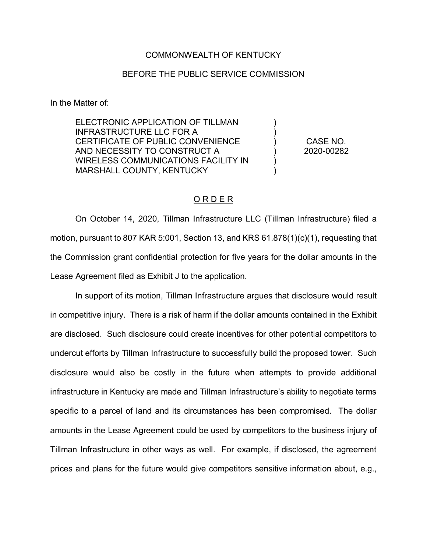## COMMONWEALTH OF KENTUCKY

## BEFORE THE PUBLIC SERVICE COMMISSION

In the Matter of:

ELECTRONIC APPLICATION OF TILLMAN INFRASTRUCTURE LLC FOR A CERTIFICATE OF PUBLIC CONVENIENCE AND NECESSITY TO CONSTRUCT A WIRELESS COMMUNICATIONS FACILITY IN MARSHALL COUNTY, KENTUCKY ) ) ) ) ) ) CASE NO. 2020-00282

## O R D E R

On October 14, 2020, Tillman Infrastructure LLC (Tillman Infrastructure) filed a motion, pursuant to 807 KAR 5:001, Section 13, and KRS 61.878(1)(c)(1), requesting that the Commission grant confidential protection for five years for the dollar amounts in the Lease Agreement filed as Exhibit J to the application.

In support of its motion, Tillman Infrastructure argues that disclosure would result in competitive injury. There is a risk of harm if the dollar amounts contained in the Exhibit are disclosed. Such disclosure could create incentives for other potential competitors to undercut efforts by Tillman Infrastructure to successfully build the proposed tower. Such disclosure would also be costly in the future when attempts to provide additional infrastructure in Kentucky are made and Tillman Infrastructure's ability to negotiate terms specific to a parcel of land and its circumstances has been compromised. The dollar amounts in the Lease Agreement could be used by competitors to the business injury of Tillman Infrastructure in other ways as well. For example, if disclosed, the agreement prices and plans for the future would give competitors sensitive information about, e.g.,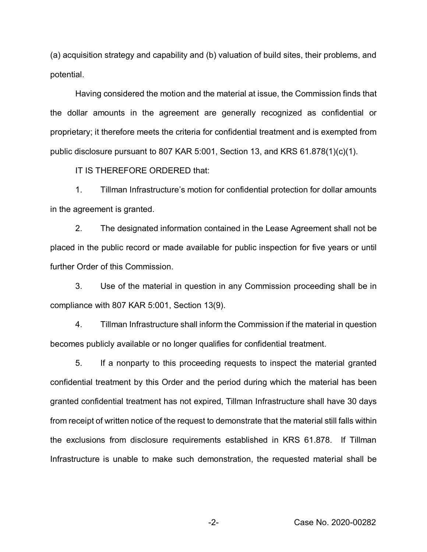(a) acquisition strategy and capability and (b) valuation of build sites, their problems, and potential.

Having considered the motion and the material at issue, the Commission finds that the dollar amounts in the agreement are generally recognized as confidential or proprietary; it therefore meets the criteria for confidential treatment and is exempted from public disclosure pursuant to 807 KAR 5:001, Section 13, and KRS 61.878(1)(c)(1).

IT IS THEREFORE ORDERED that:

1. Tillman Infrastructure's motion for confidential protection for dollar amounts in the agreement is granted.

2. The designated information contained in the Lease Agreement shall not be placed in the public record or made available for public inspection for five years or until further Order of this Commission.

3. Use of the material in question in any Commission proceeding shall be in compliance with 807 KAR 5:001, Section 13(9).

4. Tillman Infrastructure shall inform the Commission if the material in question becomes publicly available or no longer qualifies for confidential treatment.

5. If a nonparty to this proceeding requests to inspect the material granted confidential treatment by this Order and the period during which the material has been granted confidential treatment has not expired, Tillman Infrastructure shall have 30 days from receipt of written notice of the request to demonstrate that the material still falls within the exclusions from disclosure requirements established in KRS 61.878. If Tillman Infrastructure is unable to make such demonstration, the requested material shall be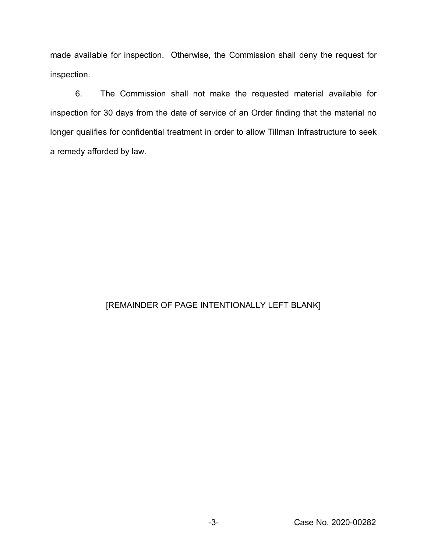made available for inspection. Otherwise, the Commission shall deny the request for inspection.

6. The Commission shall not make the requested material available for inspection for 30 days from the date of service of an Order finding that the material no longer qualifies for confidential treatment in order to allow Tillman Infrastructure to seek a remedy afforded by law.

## [REMAINDER OF PAGE INTENTIONALLY LEFT BLANK]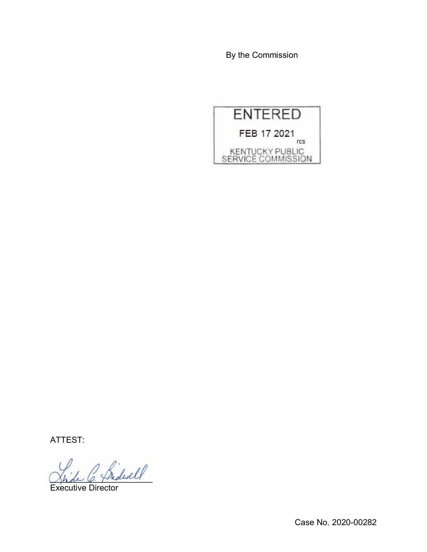By the Commission



ATTEST:

Indwell

Executive Director

Case No. 2020-00282